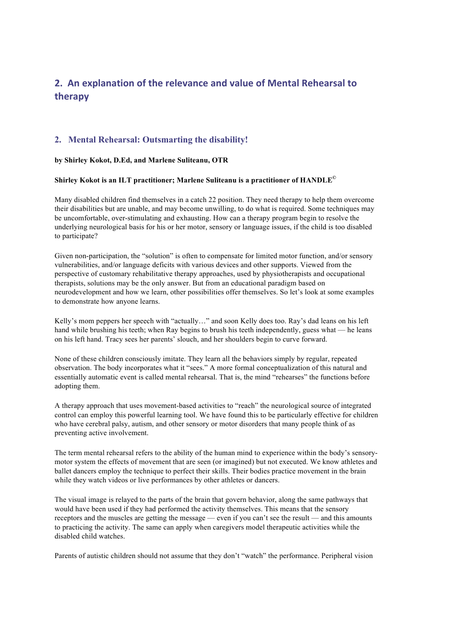## **2. An explanation of the relevance and value of Mental Rehearsal to therapy**

## **2. Mental Rehearsal: Outsmarting the disability!**

## **by Shirley Kokot, D.Ed, and Marlene Suliteanu, OTR**

## **Shirley Kokot is an ILT practitioner; Marlene Suliteanu is a practitioner of HANDLE©**

Many disabled children find themselves in a catch 22 position. They need therapy to help them overcome their disabilities but are unable, and may become unwilling, to do what is required. Some techniques may be uncomfortable, over-stimulating and exhausting. How can a therapy program begin to resolve the underlying neurological basis for his or her motor, sensory or language issues, if the child is too disabled to participate?

Given non-participation, the "solution" is often to compensate for limited motor function, and/or sensory vulnerabilities, and/or language deficits with various devices and other supports. Viewed from the perspective of customary rehabilitative therapy approaches, used by physiotherapists and occupational therapists, solutions may be the only answer. But from an educational paradigm based on neurodevelopment and how we learn, other possibilities offer themselves. So let's look at some examples to demonstrate how anyone learns.

Kelly's mom peppers her speech with "actually…" and soon Kelly does too. Ray's dad leans on his left hand while brushing his teeth; when Ray begins to brush his teeth independently, guess what — he leans on his left hand. Tracy sees her parents' slouch, and her shoulders begin to curve forward.

None of these children consciously imitate. They learn all the behaviors simply by regular, repeated observation. The body incorporates what it "sees." A more formal conceptualization of this natural and essentially automatic event is called mental rehearsal. That is, the mind "rehearses" the functions before adopting them.

A therapy approach that uses movement-based activities to "reach" the neurological source of integrated control can employ this powerful learning tool. We have found this to be particularly effective for children who have cerebral palsy, autism, and other sensory or motor disorders that many people think of as preventing active involvement.

The term mental rehearsal refers to the ability of the human mind to experience within the body's sensorymotor system the effects of movement that are seen (or imagined) but not executed. We know athletes and ballet dancers employ the technique to perfect their skills. Their bodies practice movement in the brain while they watch videos or live performances by other athletes or dancers.

The visual image is relayed to the parts of the brain that govern behavior, along the same pathways that would have been used if they had performed the activity themselves. This means that the sensory receptors and the muscles are getting the message — even if you can't see the result — and this amounts to practicing the activity. The same can apply when caregivers model therapeutic activities while the disabled child watches.

Parents of autistic children should not assume that they don't "watch" the performance. Peripheral vision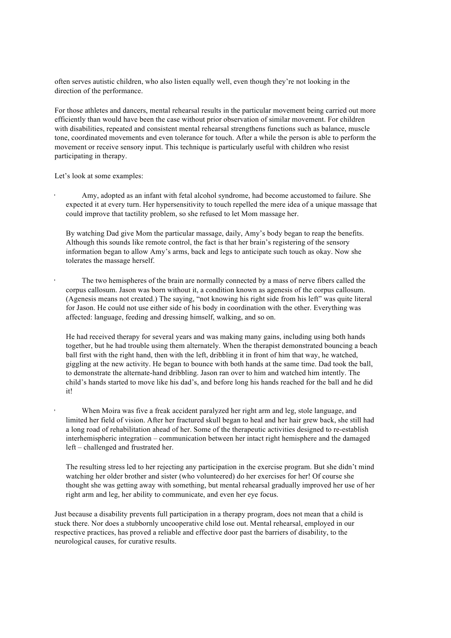often serves autistic children, who also listen equally well, even though they're not looking in the direction of the performance.

For those athletes and dancers, mental rehearsal results in the particular movement being carried out more efficiently than would have been the case without prior observation of similar movement. For children with disabilities, repeated and consistent mental rehearsal strengthens functions such as balance, muscle tone, coordinated movements and even tolerance for touch. After a while the person is able to perform the movement or receive sensory input. This technique is particularly useful with children who resist participating in therapy.

Let's look at some examples:

• Amy, adopted as an infant with fetal alcohol syndrome, had become accustomed to failure. She expected it at every turn. Her hypersensitivity to touch repelled the mere idea of a unique massage that could improve that tactility problem, so she refused to let Mom massage her.

By watching Dad give Mom the particular massage, daily, Amy's body began to reap the benefits. Although this sounds like remote control, the fact is that her brain's registering of the sensory information began to allow Amy's arms, back and legs to anticipate such touch as okay. Now she tolerates the massage herself.

• The two hemispheres of the brain are normally connected by a mass of nerve fibers called the corpus callosum. Jason was born without it, a condition known as agenesis of the corpus callosum. (Agenesis means not created.) The saying, "not knowing his right side from his left" was quite literal for Jason. He could not use either side of his body in coordination with the other. Everything was affected: language, feeding and dressing himself, walking, and so on.

He had received therapy for several years and was making many gains, including using both hands together, but he had trouble using them alternately. When the therapist demonstrated bouncing a beach ball first with the right hand, then with the left, dribbling it in front of him that way, he watched, giggling at the new activity. He began to bounce with both hands at the same time. Dad took the ball, to demonstrate the alternate-hand dribbling. Jason ran over to him and watched him intently. The child's hands started to move like his dad's, and before long his hands reached for the ball and he did it!

• When Moira was five a freak accident paralyzed her right arm and leg, stole language, and limited her field of vision. After her fractured skull began to heal and her hair grew back, she still had a long road of rehabilitation ahead of her. Some of the therapeutic activities designed to re-establish interhemispheric integration – communication between her intact right hemisphere and the damaged left – challenged and frustrated her.

The resulting stress led to her rejecting any participation in the exercise program. But she didn't mind watching her older brother and sister (who volunteered) do her exercises for her! Of course she thought she was getting away with something, but mental rehearsal gradually improved her use of her right arm and leg, her ability to communicate, and even her eye focus.

Just because a disability prevents full participation in a therapy program, does not mean that a child is stuck there. Nor does a stubbornly uncooperative child lose out. Mental rehearsal, employed in our respective practices, has proved a reliable and effective door past the barriers of disability, to the neurological causes, for curative results.